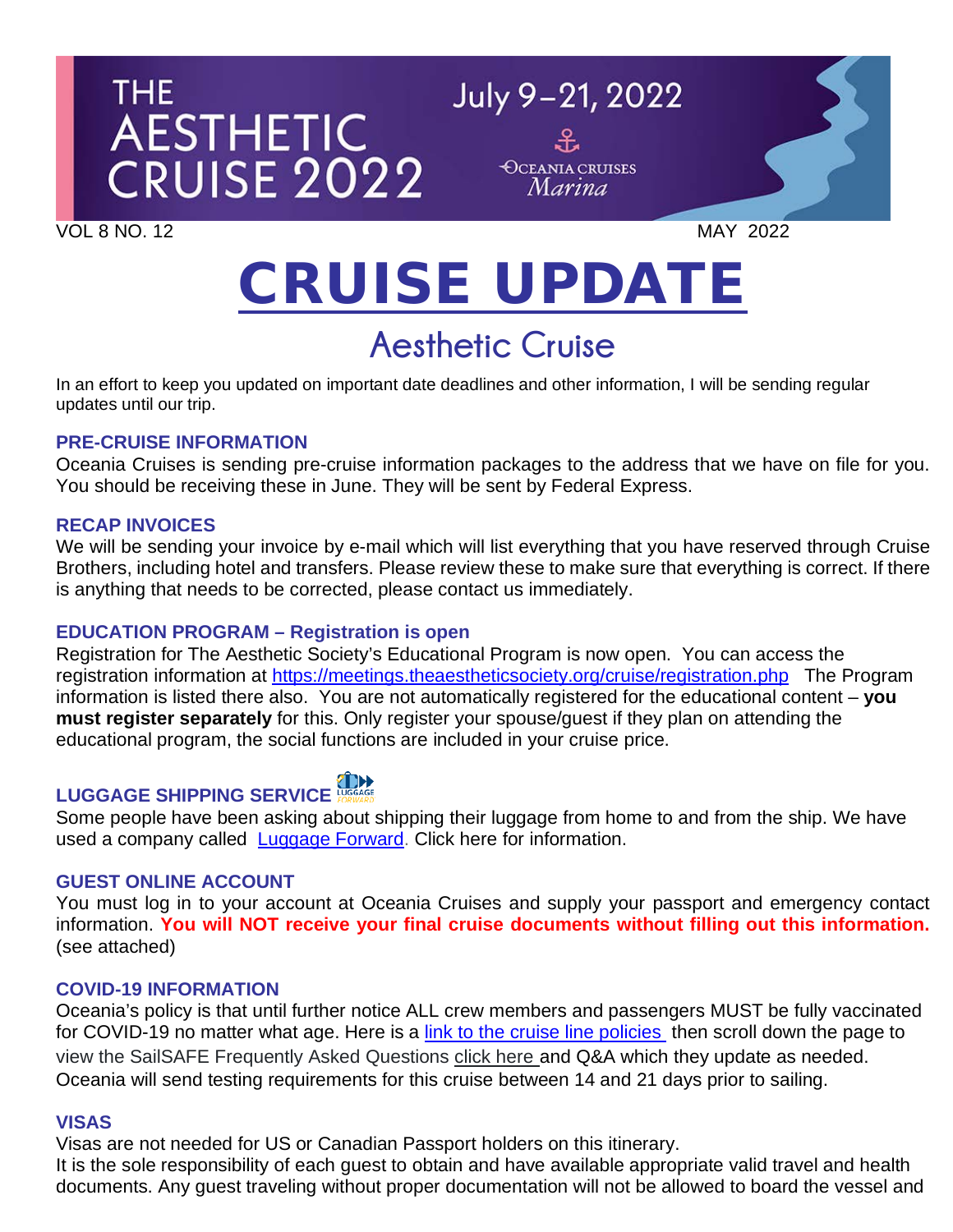# THE I AESTHETIC<br>CRUISE 2022

VOL 8 NO. 12 MAY 2022

## CRUISE UPDATE

July 9-21, 2022

**OCEANIA CRUISES** Marina

### **Aesthetic Cruise**

In an effort to keep you updated on important date deadlines and other information, I will be sending regular updates until our trip.

#### **PRE-CRUISE INFORMATION**

Oceania Cruises is sending pre-cruise information packages to the address that we have on file for you. You should be receiving these in June. They will be sent by Federal Express.

#### **RECAP INVOICES**

We will be sending your invoice by e-mail which will list everything that you have reserved through Cruise Brothers, including hotel and transfers. Please review these to make sure that everything is correct. If there is anything that needs to be corrected, please contact us immediately.

#### **EDUCATION PROGRAM – Registration is open**

Registration for The Aesthetic Society's Educational Program is now open. You can access the registration information at<https://meetings.theaestheticsociety.org/cruise/registration.php> The Program information is listed there also. You are not automatically registered for the educational content – **you must register separately** for this. Only register your spouse/guest if they plan on attending the educational program, the social functions are included in your cruise price.

### LUGGAGE SHIPPING SERVICE

Some people have been asking about shipping their luggage from home to and from the ship. We have used a company called [Luggage Forward.](https://app.luggageforward.com/book/cruise-brothers/bob-n) Click here for information.

#### **GUEST ONLINE ACCOUNT**

You must log in to your account at Oceania Cruises and supply your passport and emergency contact information. **You will NOT receive your final cruise documents without filling out this information.** (see attached)

#### **COVID-19 INFORMATION**

Oceania's policy is that until further notice ALL crew members and passengers MUST be fully vaccinated for COVID-19 no matter what age. Here is a [link to the cruise line policies](https://www.oceaniacruises.com/health) then scroll down the page to view the SailSAFE Frequently Asked Questions click here and Q&A which they update as needed. Oceania will send testing requirements for this cruise between 14 and 21 days prior to sailing.

#### **VISAS**

Visas are not needed for US or Canadian Passport holders on this itinerary.

It is the sole responsibility of each guest to obtain and have available appropriate valid travel and health documents. Any guest traveling without proper documentation will not be allowed to board the vessel and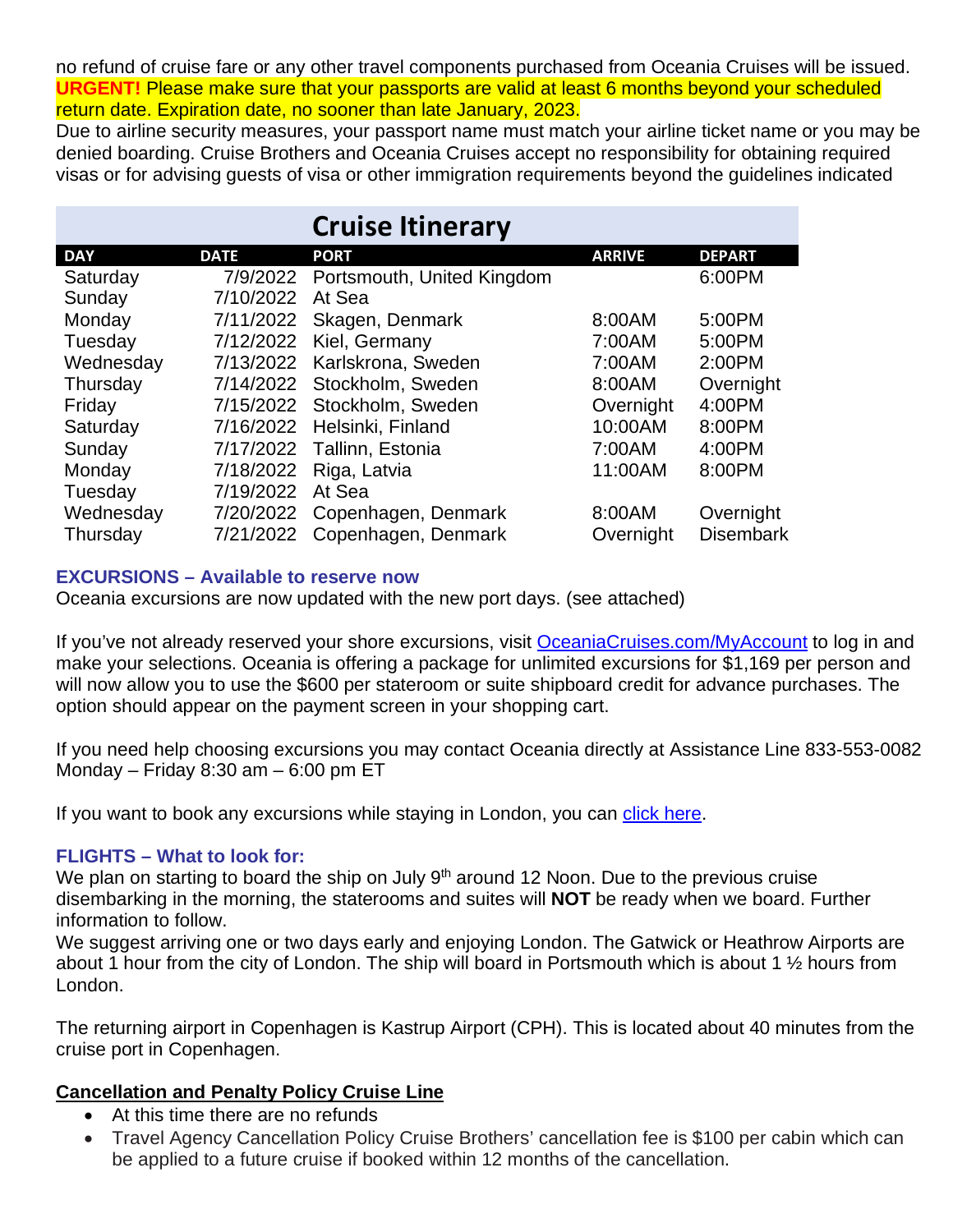no refund of cruise fare or any other travel components purchased from Oceania Cruises will be issued. **URGENT!** Please make sure that your passports are valid at least 6 months beyond your scheduled return date. Expiration date, no sooner than late January, 2023.

Due to airline security measures, your passport name must match your airline ticket name or you may be denied boarding. Cruise Brothers and Oceania Cruises accept no responsibility for obtaining required visas or for advising guests of visa or other immigration requirements beyond the guidelines indicated

|            |             | <b>Cruise Itinerary</b>       |               |                  |
|------------|-------------|-------------------------------|---------------|------------------|
| <b>DAY</b> | <b>DATE</b> | <b>PORT</b>                   | <b>ARRIVE</b> | <b>DEPART</b>    |
| Saturday   | 7/9/2022    | Portsmouth, United Kingdom    |               | 6:00PM           |
| Sunday     | 7/10/2022   | At Sea                        |               |                  |
| Monday     | 7/11/2022   | Skagen, Denmark               | 8:00AM        | 5:00PM           |
| Tuesday    | 7/12/2022   | Kiel, Germany                 | 7:00AM        | 5:00PM           |
| Wednesday  | 7/13/2022   | Karlskrona, Sweden            | 7:00AM        | 2:00PM           |
| Thursday   | 7/14/2022   | Stockholm, Sweden             | 8:00AM        | Overnight        |
| Friday     | 7/15/2022   | Stockholm, Sweden             | Overnight     | 4:00PM           |
| Saturday   | 7/16/2022   | Helsinki, Finland             | 10:00AM       | 8:00PM           |
| Sunday     | 7/17/2022   | Tallinn, Estonia              | 7:00AM        | 4:00PM           |
| Monday     | 7/18/2022   | Riga, Latvia                  | 11:00AM       | 8:00PM           |
| Tuesday    | 7/19/2022   | At Sea                        |               |                  |
| Wednesday  |             | 7/20/2022 Copenhagen, Denmark | 8:00AM        | Overnight        |
| Thursday   | 7/21/2022   | Copenhagen, Denmark           | Overnight     | <b>Disembark</b> |

#### **EXCURSIONS – Available to reserve now**

Oceania excursions are now updated with the new port days. (see attached)

If you've not already reserved your shore excursions, visit [OceaniaCruises.com/MyAccount](https://www.oceaniacruises.com/login/) to log in and make your selections. Oceania is offering a package for unlimited excursions for \$1,169 per person and will now allow you to use the \$600 per stateroom or suite shipboard credit for advance purchases. The option should appear on the payment screen in your shopping cart.

If you need help choosing excursions you may contact Oceania directly at Assistance Line 833-553-0082 Monday – Friday 8:30 am – 6:00 pm ET

If you want to book any excursions while staying in London, you can [click here.](https://www.viator.com/London/d737-ttd?pid=P00006171&uid=U00068092&mcid=58086)

#### **FLIGHTS – What to look for:**

We plan on starting to board the ship on July  $9<sup>th</sup>$  around 12 Noon. Due to the previous cruise disembarking in the morning, the staterooms and suites will **NOT** be ready when we board. Further information to follow.

We suggest arriving one or two days early and enjoying London. The Gatwick or Heathrow Airports are about 1 hour from the city of London. The ship will board in Portsmouth which is about 1 ½ hours from London.

The returning airport in Copenhagen is Kastrup Airport (CPH). This is located about 40 minutes from the cruise port in Copenhagen.

#### **Cancellation and Penalty Policy Cruise Line**

- At this time there are no refunds
- Travel Agency Cancellation Policy Cruise Brothers' cancellation fee is \$100 per cabin which can be applied to a future cruise if booked within 12 months of the cancellation.